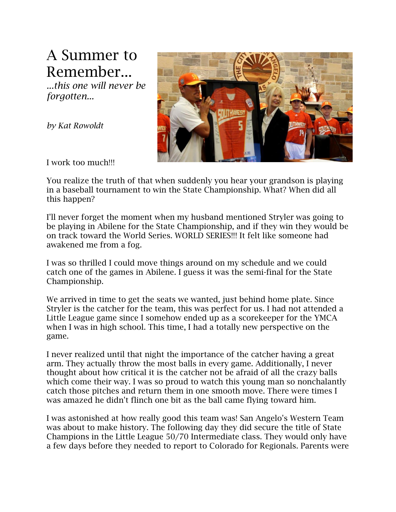## A Summer to Remember...

*...this one will never be forgotten...*

*by Kat Rowoldt*



I work too much!!!

You realize the truth of that when suddenly you hear your grandson is playing in a baseball tournament to win the State Championship. What? When did all this happen?

I'll never forget the moment when my husband mentioned Stryler was going to be playing in Abilene for the State Championship, and if they win they would be on track toward the World Series. WORLD SERIES!!! It felt like someone had awakened me from a fog.

I was so thrilled I could move things around on my schedule and we could catch one of the games in Abilene. I guess it was the semi-final for the State Championship.

We arrived in time to get the seats we wanted, just behind home plate. Since Stryler is the catcher for the team, this was perfect for us. I had not attended a Little League game since I somehow ended up as a scorekeeper for the YMCA when I was in high school. This time, I had a totally new perspective on the game.

I never realized until that night the importance of the catcher having a great arm. They actually throw the most balls in every game. Additionally, I never thought about how critical it is the catcher not be afraid of all the crazy balls which come their way. I was so proud to watch this young man so nonchalantly catch those pitches and return them in one smooth move. There were times I was amazed he didn't flinch one bit as the ball came flying toward him.

I was astonished at how really good this team was! San Angelo's Western Team was about to make history. The following day they did secure the title of State Champions in the Little League 50/70 Intermediate class. They would only have a few days before they needed to report to Colorado for Regionals. Parents were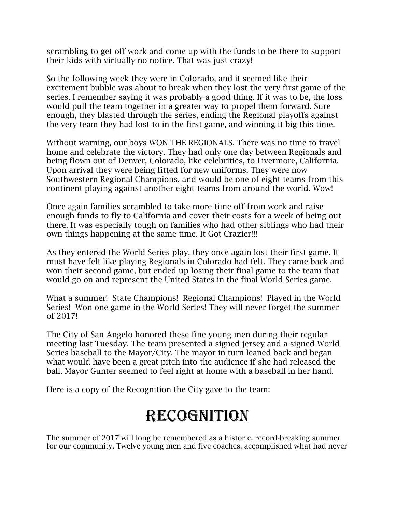scrambling to get off work and come up with the funds to be there to support their kids with virtually no notice. That was just crazy!

So the following week they were in Colorado, and it seemed like their excitement bubble was about to break when they lost the very first game of the series. I remember saying it was probably a good thing. If it was to be, the loss would pull the team together in a greater way to propel them forward. Sure enough, they blasted through the series, ending the Regional playoffs against the very team they had lost to in the first game, and winning it big this time.

Without warning, our boys WON THE REGIONALS. There was no time to travel home and celebrate the victory. They had only one day between Regionals and being flown out of Denver, Colorado, like celebrities, to Livermore, California. Upon arrival they were being fitted for new uniforms. They were now Southwestern Regional Champions, and would be one of eight teams from this continent playing against another eight teams from around the world. Wow!

Once again families scrambled to take more time off from work and raise enough funds to fly to California and cover their costs for a week of being out there. It was especially tough on families who had other siblings who had their own things happening at the same time. It Got Crazier!!!

As they entered the World Series play, they once again lost their first game. It must have felt like playing Regionals in Colorado had felt. They came back and won their second game, but ended up losing their final game to the team that would go on and represent the United States in the final World Series game.

What a summer! State Champions! Regional Champions! Played in the World Series! Won one game in the World Series! They will never forget the summer of 2017!

The City of San Angelo honored these fine young men during their regular meeting last Tuesday. The team presented a signed jersey and a signed World Series baseball to the Mayor/City. The mayor in turn leaned back and began what would have been a great pitch into the audience if she had released the ball. Mayor Gunter seemed to feel right at home with a baseball in her hand.

Here is a copy of the Recognition the City gave to the team:

## Recognition

The summer of 2017 will long be remembered as a historic, record-breaking summer for our community. Twelve young men and five coaches, accomplished what had never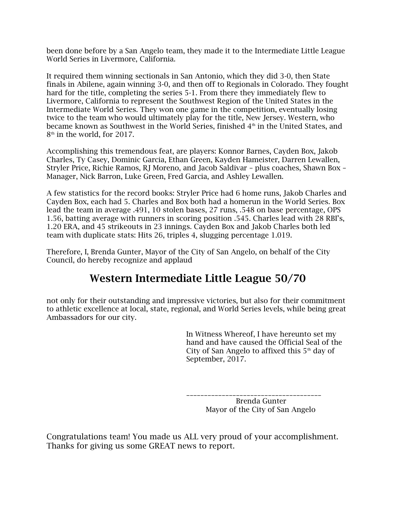been done before by a San Angelo team, they made it to the Intermediate Little League World Series in Livermore, California.

It required them winning sectionals in San Antonio, which they did 3-0, then State finals in Abilene, again winning 3-0, and then off to Regionals in Colorado. They fought hard for the title, completing the series 5-1. From there they immediately flew to Livermore, California to represent the Southwest Region of the United States in the Intermediate World Series. They won one game in the competition, eventually losing twice to the team who would ultimately play for the title, New Jersey. Western, who became known as Southwest in the World Series, finished  $4<sup>th</sup>$  in the United States, and 8 th in the world, for 2017.

Accomplishing this tremendous feat, are players: Konnor Barnes, Cayden Box, Jakob Charles, Ty Casey, Dominic Garcia, Ethan Green, Kayden Hameister, Darren Lewallen, Stryler Price, Richie Ramos, RJ Moreno, and Jacob Saldivar – plus coaches, Shawn Box – Manager, Nick Barron, Luke Green, Fred Garcia, and Ashley Lewallen.

A few statistics for the record books: Stryler Price had 6 home runs, Jakob Charles and Cayden Box, each had 5. Charles and Box both had a homerun in the World Series. Box lead the team in average .491, 10 stolen bases, 27 runs, .548 on base percentage, OPS 1.56, batting average with runners in scoring position .545. Charles lead with 28 RBI's, 1.20 ERA, and 45 strikeouts in 23 innings. Cayden Box and Jakob Charles both led team with duplicate stats: Hits 26, triples 4, slugging percentage 1.019.

Therefore, I, Brenda Gunter, Mayor of the City of San Angelo, on behalf of the City Council, do hereby recognize and applaud

## **Western Intermediate Little League 50/70**

not only for their outstanding and impressive victories, but also for their commitment to athletic excellence at local, state, regional, and World Series levels, while being great Ambassadors for our city.

> In Witness Whereof, I have hereunto set my hand and have caused the Official Seal of the City of San Angelo to affixed this  $5<sup>th</sup>$  day of September, 2017.

\_\_\_\_\_\_\_\_\_\_\_\_\_\_\_\_\_\_\_\_\_\_\_\_\_\_\_\_\_\_\_\_\_\_\_\_\_\_ Brenda Gunter Mayor of the City of San Angelo

Congratulations team! You made us ALL very proud of your accomplishment. Thanks for giving us some GREAT news to report.